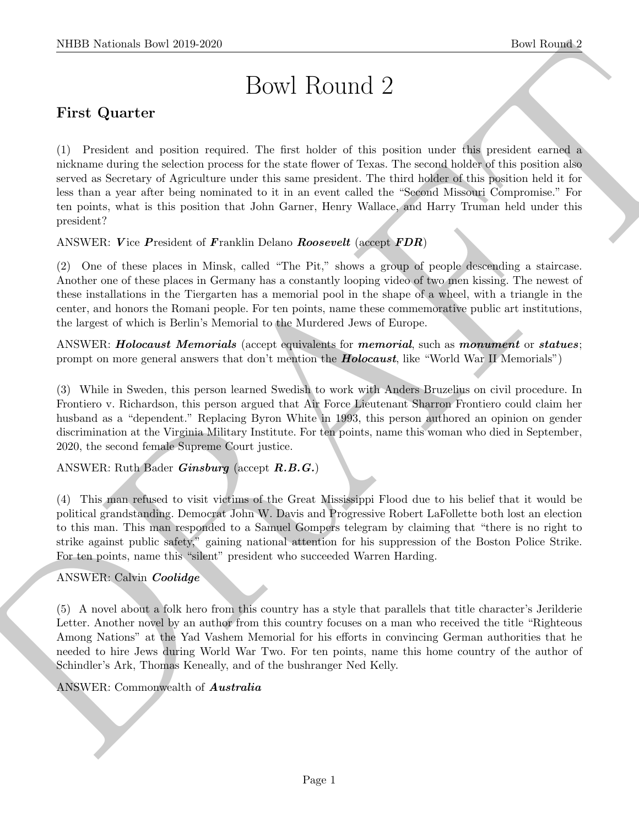# Bowl Round 2

# First Quarter

NIBB Noticeals how 20:0.2220.<br>
Bowl Round 2<br>
First Quarter<br>
1) Freshots and president regression of the star holds of this perhaps where the president record<br>
the<br>language direct and president regression for the star hold (1) President and position required. The first holder of this position under this president earned a nickname during the selection process for the state flower of Texas. The second holder of this position also served as Secretary of Agriculture under this same president. The third holder of this position held it for less than a year after being nominated to it in an event called the "Second Missouri Compromise." For ten points, what is this position that John Garner, Henry Wallace, and Harry Truman held under this president?

### ANSWER: Vice President of Franklin Delano Roosevelt (accept  $FDR$ )

(2) One of these places in Minsk, called "The Pit," shows a group of people descending a staircase. Another one of these places in Germany has a constantly looping video of two men kissing. The newest of these installations in the Tiergarten has a memorial pool in the shape of a wheel, with a triangle in the center, and honors the Romani people. For ten points, name these commemorative public art institutions, the largest of which is Berlin's Memorial to the Murdered Jews of Europe.

ANSWER: *Holocaust Memorials* (accept equivalents for *memorial*, such as *monument* or *statues*; prompt on more general answers that don't mention the **Holocaust**, like "World War II Memorials")

(3) While in Sweden, this person learned Swedish to work with Anders Bruzelius on civil procedure. In Frontiero v. Richardson, this person argued that Air Force Lieutenant Sharron Frontiero could claim her husband as a "dependent." Replacing Byron White in 1993, this person authored an opinion on gender discrimination at the Virginia Military Institute. For ten points, name this woman who died in September, 2020, the second female Supreme Court justice.

### ANSWER: Ruth Bader Ginsburg (accept R.B.G.)

(4) This man refused to visit victims of the Great Mississippi Flood due to his belief that it would be political grandstanding. Democrat John W. Davis and Progressive Robert LaFollette both lost an election to this man. This man responded to a Samuel Gompers telegram by claiming that "there is no right to strike against public safety," gaining national attention for his suppression of the Boston Police Strike. For ten points, name this "silent" president who succeeded Warren Harding.

### ANSWER: Calvin Coolidge

(5) A novel about a folk hero from this country has a style that parallels that title character's Jerilderie Letter. Another novel by an author from this country focuses on a man who received the title "Righteous Among Nations" at the Yad Vashem Memorial for his efforts in convincing German authorities that he needed to hire Jews during World War Two. For ten points, name this home country of the author of Schindler's Ark, Thomas Keneally, and of the bushranger Ned Kelly.

### ANSWER: Commonwealth of Australia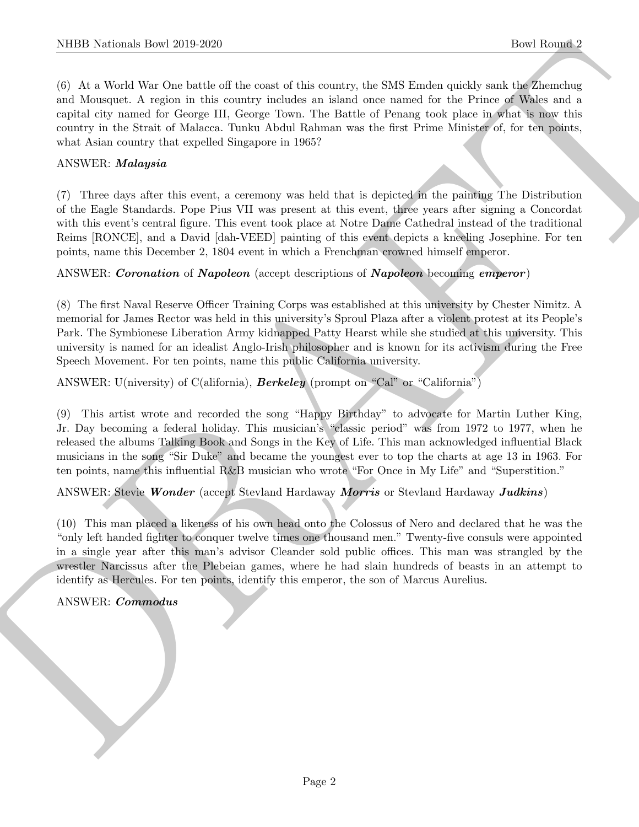(6) At a World War One battle off the coast of this country, the SMS Emden quickly sank the Zhemchug and Mousquet. A region in this country includes an island once named for the Prince of Wales and a capital city named for George III, George Town. The Battle of Penang took place in what is now this country in the Strait of Malacca. Tunku Abdul Rahman was the first Prime Minister of, for ten points, what Asian country that expelled Singapore in 1965?

### ANSWER: Malaysia

(7) Three days after this event, a ceremony was held that is depicted in the painting The Distribution of the Eagle Standards. Pope Pius VII was present at this event, three years after signing a Concordat with this event's central figure. This event took place at Notre Dame Cathedral instead of the traditional Reims [RONCE], and a David [dah-VEED] painting of this event depicts a kneeling Josephine. For ten points, name this December 2, 1804 event in which a Frenchman crowned himself emperor.

ANSWER: Coronation of Napoleon (accept descriptions of Napoleon becoming emperor)

(8) The first Naval Reserve Officer Training Corps was established at this university by Chester Nimitz. A memorial for James Rector was held in this university's Sproul Plaza after a violent protest at its People's Park. The Symbionese Liberation Army kidnapped Patty Hearst while she studied at this university. This university is named for an idealist Anglo-Irish philosopher and is known for its activism during the Free Speech Movement. For ten points, name this public California university.

ANSWER: U(niversity) of C(alifornia),  $Berkeley$  (prompt on "Cal" or "California")

NIBB Notionals how 2019-2020<br>
(6) Also Work is bounded that counts of the counts to the SNS Endow thickly shown that the Bounded of Management and the SNS Endow that the Price of Warstown of the Bounded of the material co (9) This artist wrote and recorded the song "Happy Birthday" to advocate for Martin Luther King, Jr. Day becoming a federal holiday. This musician's "classic period" was from 1972 to 1977, when he released the albums Talking Book and Songs in the Key of Life. This man acknowledged influential Black musicians in the song "Sir Duke" and became the youngest ever to top the charts at age 13 in 1963. For ten points, name this influential R&B musician who wrote "For Once in My Life" and "Superstition."

ANSWER: Stevie Wonder (accept Stevland Hardaway Morris or Stevland Hardaway Judkins)

(10) This man placed a likeness of his own head onto the Colossus of Nero and declared that he was the "only left handed fighter to conquer twelve times one thousand men." Twenty-five consuls were appointed in a single year after this man's advisor Cleander sold public offices. This man was strangled by the wrestler Narcissus after the Plebeian games, where he had slain hundreds of beasts in an attempt to identify as Hercules. For ten points, identify this emperor, the son of Marcus Aurelius.

ANSWER: Commodus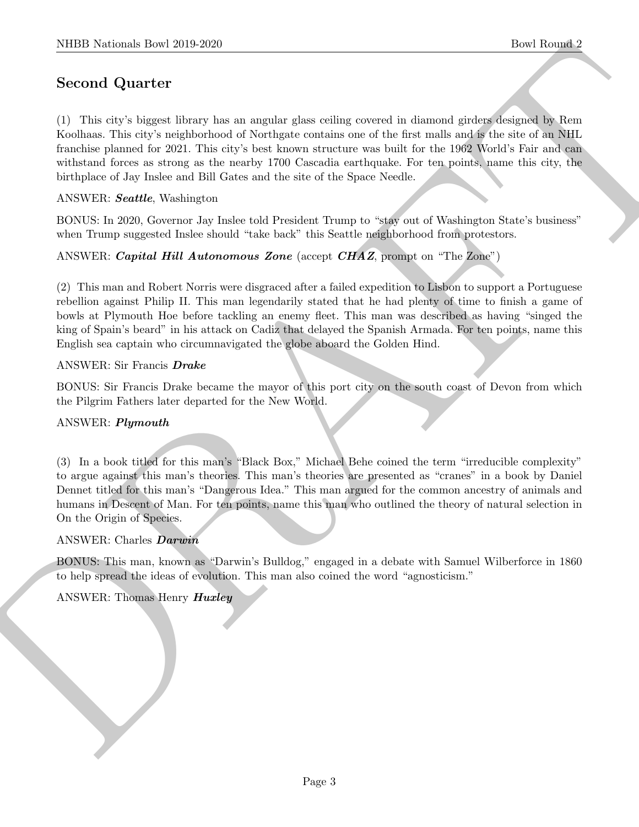# Second Quarter

NIBB Noticeals how 2019-2220<br>
Second Quarter<br>
Coronal Counter and any local angular gias esting covered in dimensionly<br>set of a New Higher Scheme and the set of a New Higher Scheme and the set of a New Higher<br>
Concluse Th (1) This city's biggest library has an angular glass ceiling covered in diamond girders designed by Rem Koolhaas. This city's neighborhood of Northgate contains one of the first malls and is the site of an NHL franchise planned for 2021. This city's best known structure was built for the 1962 World's Fair and can withstand forces as strong as the nearby 1700 Cascadia earthquake. For ten points, name this city, the birthplace of Jay Inslee and Bill Gates and the site of the Space Needle.

### ANSWER: Seattle, Washington

BONUS: In 2020, Governor Jay Inslee told President Trump to "stay out of Washington State's business" when Trump suggested Inslee should "take back" this Seattle neighborhood from protestors.

ANSWER: *Capital Hill Autonomous Zone* (accept *CHAZ*, prompt on "The Zone")

(2) This man and Robert Norris were disgraced after a failed expedition to Lisbon to support a Portuguese rebellion against Philip II. This man legendarily stated that he had plenty of time to finish a game of bowls at Plymouth Hoe before tackling an enemy fleet. This man was described as having "singed the king of Spain's beard" in his attack on Cadiz that delayed the Spanish Armada. For ten points, name this English sea captain who circumnavigated the globe aboard the Golden Hind.

### ANSWER: Sir Francis Drake

BONUS: Sir Francis Drake became the mayor of this port city on the south coast of Devon from which the Pilgrim Fathers later departed for the New World.

### ANSWER: Plymouth

(3) In a book titled for this man's "Black Box," Michael Behe coined the term "irreducible complexity" to argue against this man's theories. This man's theories are presented as "cranes" in a book by Daniel Dennet titled for this man's "Dangerous Idea." This man argued for the common ancestry of animals and humans in Descent of Man. For ten points, name this man who outlined the theory of natural selection in On the Origin of Species.

### ANSWER: Charles Darwin

BONUS: This man, known as "Darwin's Bulldog," engaged in a debate with Samuel Wilberforce in 1860 to help spread the ideas of evolution. This man also coined the word "agnosticism."

### ANSWER: Thomas Henry Huxley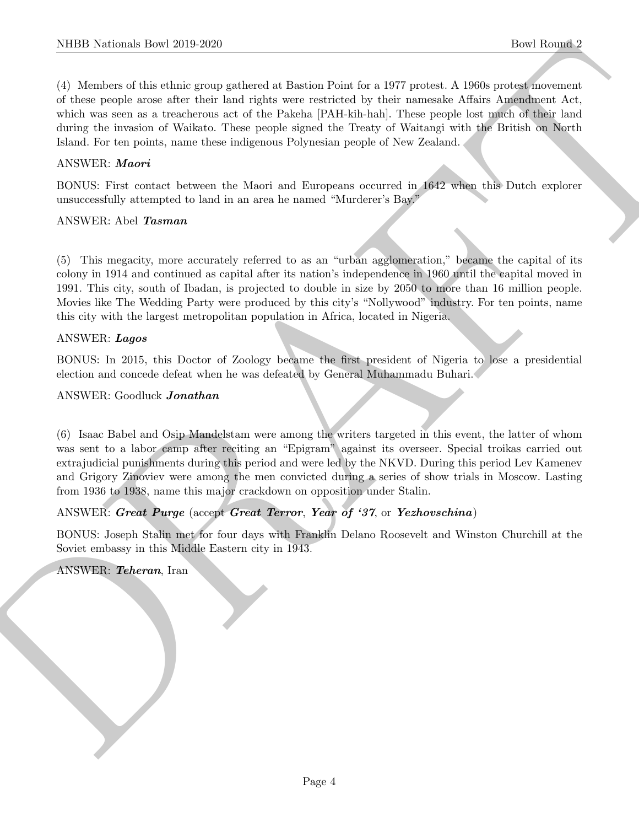NIBB Noticeals how 20:0.269<br>
(A Montes of this deluction and<br>
(A Montes of the other contracts of the local definite batch from 1971 protect. A BMs are<br>a strong from the first way also define some varieties by their recor (4) Members of this ethnic group gathered at Bastion Point for a 1977 protest. A 1960s protest movement of these people arose after their land rights were restricted by their namesake Affairs Amendment Act, which was seen as a treacherous act of the Pakeha [PAH-kih-hah]. These people lost much of their land during the invasion of Waikato. These people signed the Treaty of Waitangi with the British on North Island. For ten points, name these indigenous Polynesian people of New Zealand.

### ANSWER: Maori

BONUS: First contact between the Maori and Europeans occurred in 1642 when this Dutch explorer unsuccessfully attempted to land in an area he named "Murderer's Bay."

### ANSWER: Abel Tasman

(5) This megacity, more accurately referred to as an "urban agglomeration," became the capital of its colony in 1914 and continued as capital after its nation's independence in 1960 until the capital moved in 1991. This city, south of Ibadan, is projected to double in size by 2050 to more than 16 million people. Movies like The Wedding Party were produced by this city's "Nollywood" industry. For ten points, name this city with the largest metropolitan population in Africa, located in Nigeria.

### ANSWER: Lagos

BONUS: In 2015, this Doctor of Zoology became the first president of Nigeria to lose a presidential election and concede defeat when he was defeated by General Muhammadu Buhari.

### ANSWER: Goodluck Jonathan

(6) Isaac Babel and Osip Mandelstam were among the writers targeted in this event, the latter of whom was sent to a labor camp after reciting an "Epigram" against its overseer. Special troikas carried out extrajudicial punishments during this period and were led by the NKVD. During this period Lev Kamenev and Grigory Zinoviev were among the men convicted during a series of show trials in Moscow. Lasting from 1936 to 1938, name this major crackdown on opposition under Stalin.

### ANSWER: Great Purge (accept Great Terror, Year of '37, or Yezhovschina)

BONUS: Joseph Stalin met for four days with Franklin Delano Roosevelt and Winston Churchill at the Soviet embassy in this Middle Eastern city in 1943.

ANSWER: Teheran, Iran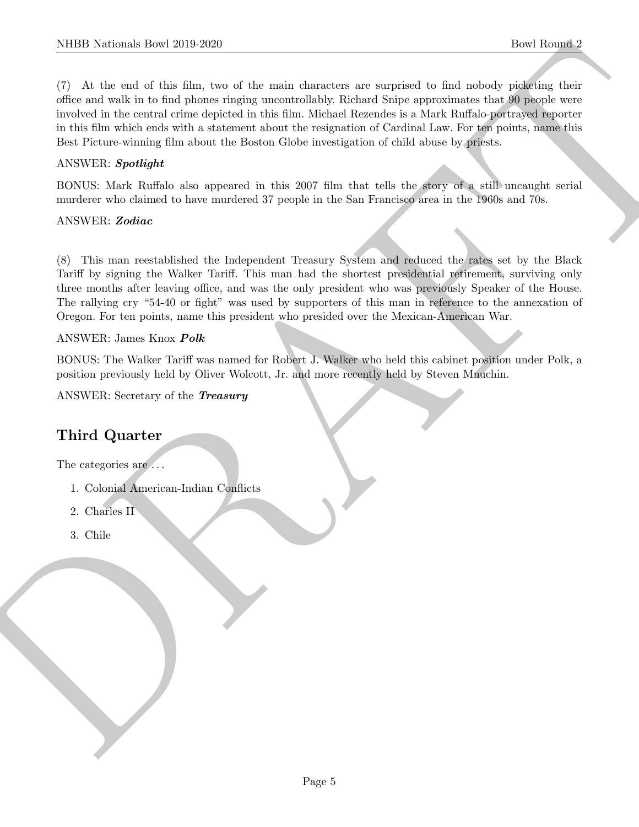NIBB Noticeals how 20:0.269<br>
(7) Ale do call of the model of the anda dimensionly are superiority in both language of<br>
(7) Ale do call of the visit of the state of the model of the model of<br>
call of the call of the state (7) At the end of this film, two of the main characters are surprised to find nobody picketing their office and walk in to find phones ringing uncontrollably. Richard Snipe approximates that 90 people were involved in the central crime depicted in this film. Michael Rezendes is a Mark Ruffalo-portrayed reporter in this film which ends with a statement about the resignation of Cardinal Law. For ten points, name this Best Picture-winning film about the Boston Globe investigation of child abuse by priests.

### ANSWER: Spotlight

BONUS: Mark Ruffalo also appeared in this 2007 film that tells the story of a still uncaught serial murderer who claimed to have murdered 37 people in the San Francisco area in the 1960s and 70s.

### ANSWER: Zodiac

(8) This man reestablished the Independent Treasury System and reduced the rates set by the Black Tariff by signing the Walker Tariff. This man had the shortest presidential retirement, surviving only three months after leaving office, and was the only president who was previously Speaker of the House. The rallying cry "54-40 or fight" was used by supporters of this man in reference to the annexation of Oregon. For ten points, name this president who presided over the Mexican-American War.

### ANSWER: James Knox Polk

BONUS: The Walker Tariff was named for Robert J. Walker who held this cabinet position under Polk, a position previously held by Oliver Wolcott, Jr. and more recently held by Steven Mnuchin.

ANSWER: Secretary of the **Treasury** 

# Third Quarter

The categories are  $\dots$ 

- 1. Colonial American-Indian Conflicts
- 2. Charles II
- 3. Chile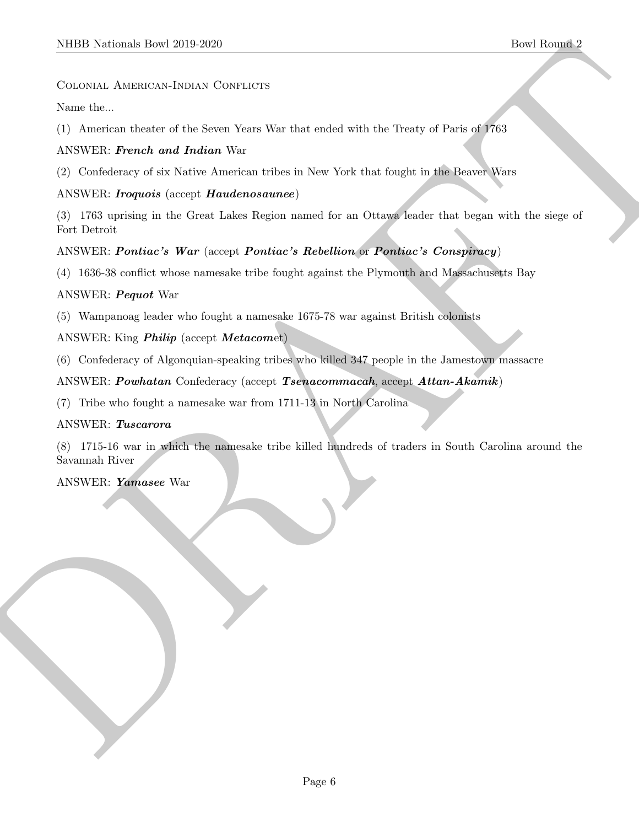### Colonial American-Indian Conflicts

Name the...

(1) American theater of the Seven Years War that ended with the Treaty of Paris of 1763

### ANSWER: French and Indian War

(2) Confederacy of six Native American tribes in New York that fought in the Beaver Wars

### ANSWER: Iroquois (accept Haudenosaunee)

MIDD Neidonal: Dowl 2019-2020<br>
Concests. Assume<br>
Concests. Assume<br>
Concests. Assume<br>
Concests. Assume the size of Covertners<br>
(1) A marker theories of this Assume Marker that reader with the Transport Deck of 1981<br>
(2) Con (3) 1763 uprising in the Great Lakes Region named for an Ottawa leader that began with the siege of Fort Detroit

### ANSWER: Pontiac's War (accept Pontiac's Rebellion or Pontiac's Conspiracy)

(4) 1636-38 conflict whose namesake tribe fought against the Plymouth and Massachusetts Bay

### ANSWER: Pequot War

(5) Wampanoag leader who fought a namesake 1675-78 war against British colonists

ANSWER: King Philip (accept Metacomet)

(6) Confederacy of Algonquian-speaking tribes who killed 347 people in the Jamestown massacre

ANSWER: Powhatan Confederacy (accept Tsenacommacah, accept Attan-Akamik)

(7) Tribe who fought a namesake war from 1711-13 in North Carolina

### ANSWER: Tuscarora

(8) 1715-16 war in which the namesake tribe killed hundreds of traders in South Carolina around the Savannah River

### ANSWER: Yamasee War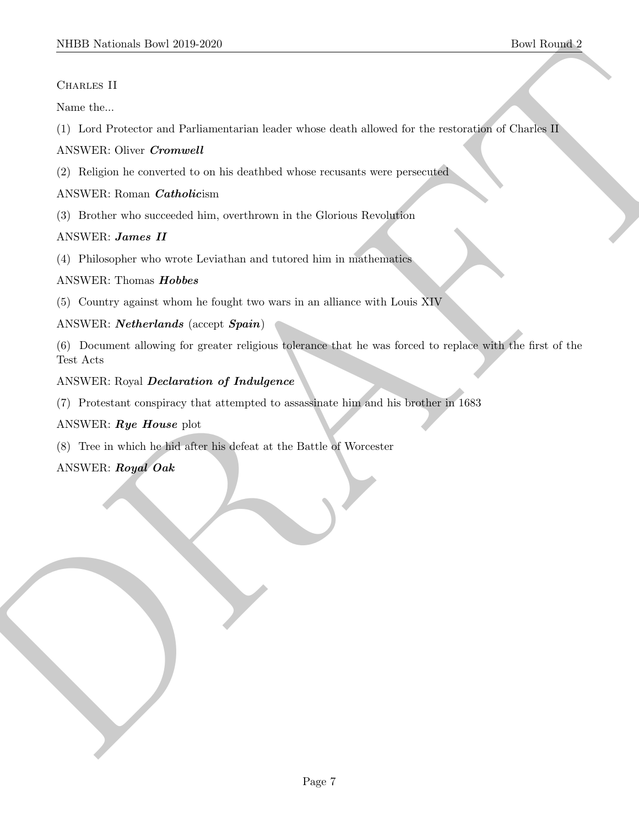### CHARLES II

Name the...

(1) Lord Protector and Parliamentarian leader whose death allowed for the restoration of Charles II

### ANSWER: Oliver Cromwell

(2) Religion he converted to on his deathbed whose recusants were persecuted

### ANSWER: Roman Catholicism

(3) Brother who succeeded him, overthrown in the Glorious Revolution

### ANSWER: James II

(4) Philosopher who wrote Leviathan and tutored him in mathematics

### ANSWER: Thomas Hobbes

(5) Country against whom he fought two wars in an alliance with Louis XIV

### ANSWER: Netherlands (accept Spain)

MIDD Notional: Download and Particular content in looker whose death allowed for the measuring of Charles (1) Lard Pointine and Particular-time looker whose death allowed for the measuring of Charles (1) Rediction Combinat (6) Document allowing for greater religious tolerance that he was forced to replace with the first of the Test Acts

### ANSWER: Royal Declaration of Indulgence

(7) Protestant conspiracy that attempted to assassinate him and his brother in 1683

### ANSWER: Rye House plot

(8) Tree in which he hid after his defeat at the Battle of Worcester

### ANSWER: Royal Oak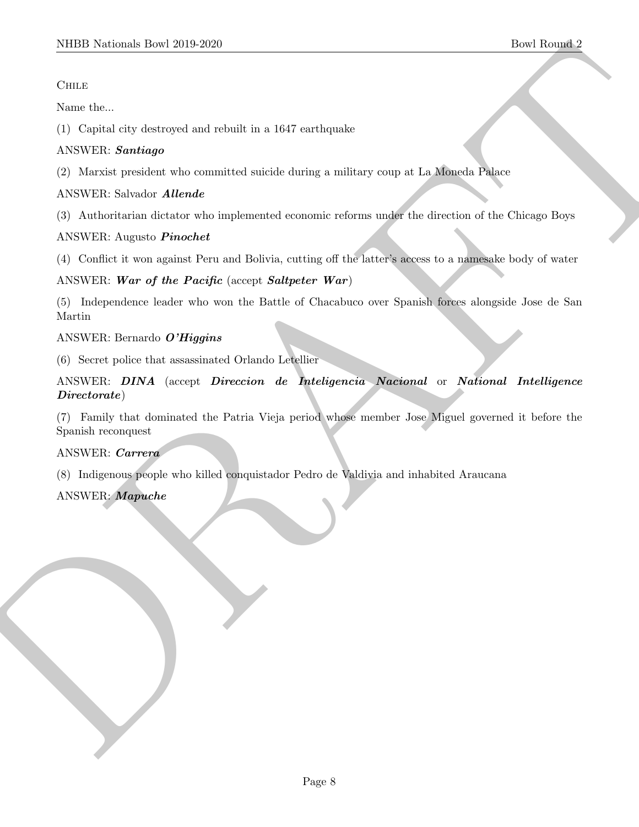### **CHILE**

Name the...

(1) Capital city destroyed and rebuilt in a 1647 earthquake

### ANSWER: Santiago

(2) Marxist president who committed suicide during a military coup at La Moneda Palace

### ANSWER: Salvador Allende

(3) Authoritarian dictator who implemented economic reforms under the direction of the Chicago Boys

### ANSWER: Augusto Pinochet

(4) Conflict it won against Peru and Bolivia, cutting off the latter's access to a namesake body of water

### ANSWER: War of the Pacific (accept Saltpeter War)

(5) Independence leader who won the Battle of Chacabuco over Spanish forces alongside Jose de San Martin

### ANSWER: Bernardo O'Higgins

(6) Secret police that assassinated Orlando Letellier

# SIBBD Notional: Dow 2019-2020<br>
Channel Books<br>
Channel Books<br>
2019 - Copied risy destroyed one interds in a 1847 certic<br>public scaling is a higher policy coup at La Minister Channel Reserved ASSWER: Schools Altonia<br>
22) Ad ANSWER: DINA (accept Direccion de Inteligencia Nacional or National Intelligence Directorate)

(7) Family that dominated the Patria Vieja period whose member Jose Miguel governed it before the Spanish reconquest

### ANSWER: Carrera

(8) Indigenous people who killed conquistador Pedro de Valdivia and inhabited Araucana

### ANSWER: Mapuche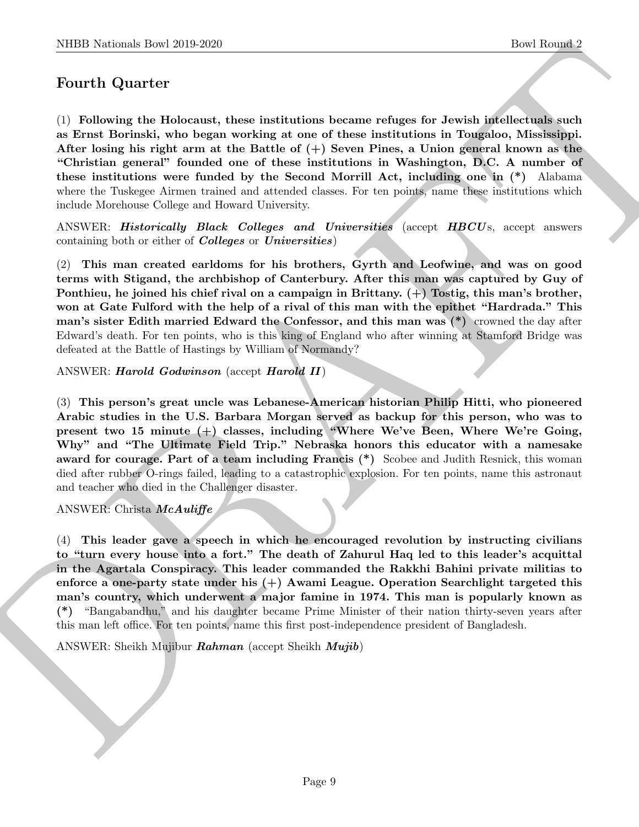# Fourth Quarter

NIBB Noticeals how 20:0 2250<br>
Down Lines how 20:0 2250<br>
Down Lines how the Rosen strength and the maintainsies because refriges for Jewish individuals such<br>
as Front Rochtain, who hogen working at one of these interdicted (1) Following the Holocaust, these institutions became refuges for Jewish intellectuals such as Ernst Borinski, who began working at one of these institutions in Tougaloo, Mississippi. After losing his right arm at the Battle of  $(+)$  Seven Pines, a Union general known as the "Christian general" founded one of these institutions in Washington, D.C. A number of these institutions were funded by the Second Morrill Act, including one in (\*) Alabama where the Tuskegee Airmen trained and attended classes. For ten points, name these institutions which include Morehouse College and Howard University.

ANSWER: *Historically Black Colleges and Universities* (accept *HBCU*s, accept answers containing both or either of Colleges or Universities)

(2) This man created earldoms for his brothers, Gyrth and Leofwine, and was on good terms with Stigand, the archbishop of Canterbury. After this man was captured by Guy of Ponthieu, he joined his chief rival on a campaign in Brittany. (+) Tostig, this man's brother, won at Gate Fulford with the help of a rival of this man with the epithet "Hardrada." This man's sister Edith married Edward the Confessor, and this man was (\*) crowned the day after Edward's death. For ten points, who is this king of England who after winning at Stamford Bridge was defeated at the Battle of Hastings by William of Normandy?

### ANSWER: Harold Godwinson (accept Harold II)

(3) This person's great uncle was Lebanese-American historian Philip Hitti, who pioneered Arabic studies in the U.S. Barbara Morgan served as backup for this person, who was to present two 15 minute (+) classes, including "Where We've Been, Where We're Going, Why" and "The Ultimate Field Trip." Nebraska honors this educator with a namesake award for courage. Part of a team including Francis (\*) Scobee and Judith Resnick, this woman died after rubber O-rings failed, leading to a catastrophic explosion. For ten points, name this astronaut and teacher who died in the Challenger disaster.

### ANSWER: Christa *McAuliffe*

(4) This leader gave a speech in which he encouraged revolution by instructing civilians to "turn every house into a fort." The death of Zahurul Haq led to this leader's acquittal in the Agartala Conspiracy. This leader commanded the Rakkhi Bahini private militias to enforce a one-party state under his  $(+)$  Awami League. Operation Searchlight targeted this man's country, which underwent a major famine in 1974. This man is popularly known as (\*) "Bangabandhu," and his daughter became Prime Minister of their nation thirty-seven years after this man left office. For ten points, name this first post-independence president of Bangladesh.

ANSWER: Sheikh Mujibur Rahman (accept Sheikh Mujib)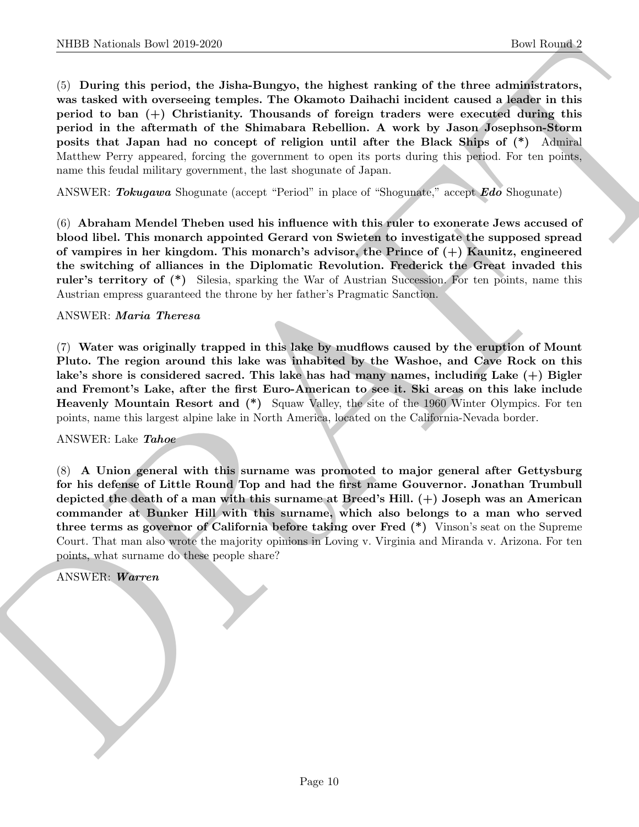NIBB Noticeals how 2019-2020<br>(b) Darius them 2019-2020<br>(c) Darius this period of the probability of the three Rounds<br>C (c) Darius the state of the state of the state of the control Darboth includes the state of horizon be (5) During this period, the Jisha-Bungyo, the highest ranking of the three administrators, was tasked with overseeing temples. The Okamoto Daihachi incident caused a leader in this period to ban (+) Christianity. Thousands of foreign traders were executed during this period in the aftermath of the Shimabara Rebellion. A work by Jason Josephson-Storm posits that Japan had no concept of religion until after the Black Ships of (\*) Admiral Matthew Perry appeared, forcing the government to open its ports during this period. For ten points, name this feudal military government, the last shogunate of Japan.

ANSWER: Tokugawa Shogunate (accept "Period" in place of "Shogunate," accept **Edo** Shogunate)

(6) Abraham Mendel Theben used his influence with this ruler to exonerate Jews accused of blood libel. This monarch appointed Gerard von Swieten to investigate the supposed spread of vampires in her kingdom. This monarch's advisor, the Prince of  $(+)$  Kaunitz, engineered the switching of alliances in the Diplomatic Revolution. Frederick the Great invaded this ruler's territory of (\*) Silesia, sparking the War of Austrian Succession. For ten points, name this Austrian empress guaranteed the throne by her father's Pragmatic Sanction.

### ANSWER: Maria Theresa

(7) Water was originally trapped in this lake by mudflows caused by the eruption of Mount Pluto. The region around this lake was inhabited by the Washoe, and Cave Rock on this lake's shore is considered sacred. This lake has had many names, including Lake (+) Bigler and Fremont's Lake, after the first Euro-American to see it. Ski areas on this lake include Heavenly Mountain Resort and (\*) Squaw Valley, the site of the 1960 Winter Olympics. For ten points, name this largest alpine lake in North America, located on the California-Nevada border.

ANSWER: Lake Tahoe

(8) A Union general with this surname was promoted to major general after Gettysburg for his defense of Little Round Top and had the first name Gouvernor. Jonathan Trumbull depicted the death of a man with this surname at Breed's Hill. (+) Joseph was an American commander at Bunker Hill with this surname, which also belongs to a man who served three terms as governor of California before taking over Fred (\*) Vinson's seat on the Supreme Court. That man also wrote the majority opinions in Loving v. Virginia and Miranda v. Arizona. For ten points, what surname do these people share?

ANSWER: Warren